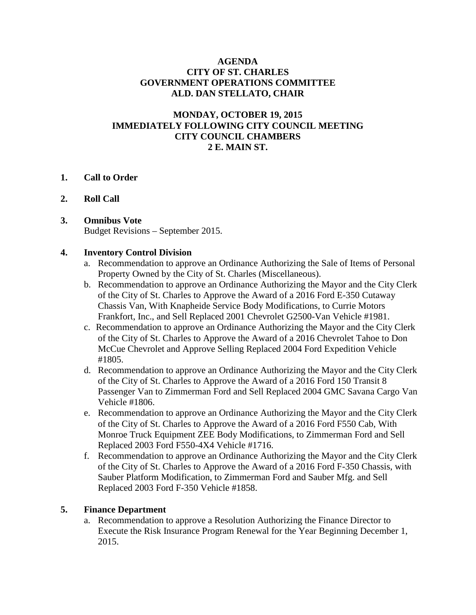#### **AGENDA CITY OF ST. CHARLES GOVERNMENT OPERATIONS COMMITTEE ALD. DAN STELLATO, CHAIR**

### **MONDAY, OCTOBER 19, 2015 IMMEDIATELY FOLLOWING CITY COUNCIL MEETING CITY COUNCIL CHAMBERS 2 E. MAIN ST.**

#### **1. Call to Order**

#### **2. Roll Call**

# **3. Omnibus Vote**

Budget Revisions – September 2015.

#### **4. Inventory Control Division**

- a. Recommendation to approve an Ordinance Authorizing the Sale of Items of Personal Property Owned by the City of St. Charles (Miscellaneous).
- b. Recommendation to approve an Ordinance Authorizing the Mayor and the City Clerk of the City of St. Charles to Approve the Award of a 2016 Ford E-350 Cutaway Chassis Van, With Knapheide Service Body Modifications, to Currie Motors Frankfort, Inc., and Sell Replaced 2001 Chevrolet G2500-Van Vehicle #1981.
- c. Recommendation to approve an Ordinance Authorizing the Mayor and the City Clerk of the City of St. Charles to Approve the Award of a 2016 Chevrolet Tahoe to Don McCue Chevrolet and Approve Selling Replaced 2004 Ford Expedition Vehicle #1805.
- d. Recommendation to approve an Ordinance Authorizing the Mayor and the City Clerk of the City of St. Charles to Approve the Award of a 2016 Ford 150 Transit 8 Passenger Van to Zimmerman Ford and Sell Replaced 2004 GMC Savana Cargo Van Vehicle #1806.
- e. Recommendation to approve an Ordinance Authorizing the Mayor and the City Clerk of the City of St. Charles to Approve the Award of a 2016 Ford F550 Cab, With Monroe Truck Equipment ZEE Body Modifications, to Zimmerman Ford and Sell Replaced 2003 Ford F550-4X4 Vehicle #1716.
- f. Recommendation to approve an Ordinance Authorizing the Mayor and the City Clerk of the City of St. Charles to Approve the Award of a 2016 Ford F-350 Chassis, with Sauber Platform Modification, to Zimmerman Ford and Sauber Mfg. and Sell Replaced 2003 Ford F-350 Vehicle #1858.

### **5. Finance Department**

a. Recommendation to approve a Resolution Authorizing the Finance Director to Execute the Risk Insurance Program Renewal for the Year Beginning December 1, 2015.